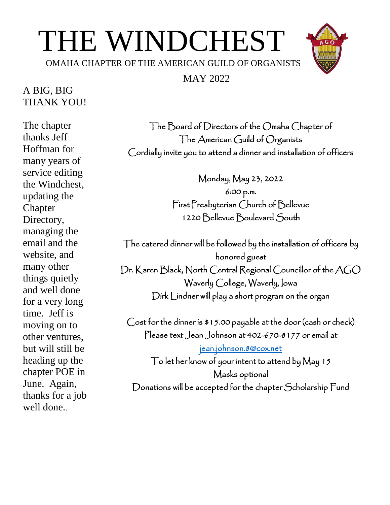# THE WINDCHEST

OMAHA CHAPTER OF THE AMERICAN GUILD OF ORGANISTS

#### MAY 2022

## A BIG, BIG THANK YOU!

The chapter thanks Jeff Hoffman for many years of service editing the Windchest, updating the **Chapter** Directory, managing the email and the website, and many other things quietly and well done for a very long time. Jeff is moving on to other ventures, but will still be heading up the chapter POE in June. Again, thanks for a job well done..

The Board of Directors of the Omaha Chapter of The American Guild of Organists Cordially invite you to attend a dinner and installation of officers

> Monday, May 23, 2022 6:00 p.m. First Presbyterian Church of Bellevue 1220 Bellevue Boulevard South

The catered dinner will be followed by the installation of officers by honored guest Dr. Karen Black, North Central Regional Councillor of the AGO Waverly College, Waverly, Iowa Dirk Lindner will play a short program on the organ

Cost for the dinner is \$15.00 payable at the door (cash or check) Please text Jean Johnson at 402-670-8177 or email at

[jean.johnson.8@cox.net](mailto:jean.johnson.8@cox.net)  To let her know of your intent to attend by May 15 Masks optional Donations will be accepted for the chapter Scholarship Fund

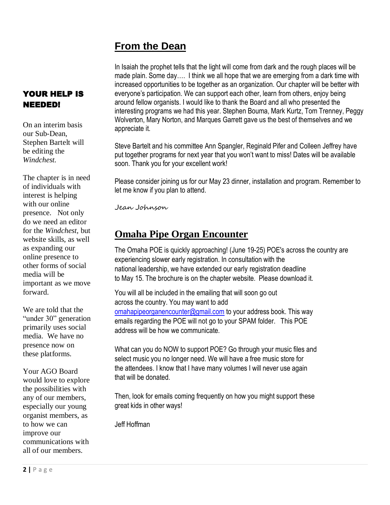## **From the Dean**

In Isaiah the prophet tells that the light will come from dark and the rough places will be made plain. Some day…. I think we all hope that we are emerging from a dark time with increased opportunities to be together as an organization. Our chapter will be better with everyone's participation. We can support each other, learn from others, enjoy being around fellow organists. I would like to thank the Board and all who presented the interesting programs we had this year. Stephen Bouma, Mark Kurtz, Tom Trenney, Peggy Wolverton, Mary Norton, and Marques Garrett gave us the best of themselves and we appreciate it.

Steve Bartelt and his committee Ann Spangler, Reginald Pifer and Colleen Jeffrey have put together programs for next year that you won't want to miss! Dates will be available soon. Thank you for your excellent work!

Please consider joining us for our May 23 dinner, installation and program. Remember to let me know if you plan to attend.

Jean Johnson

## **Omaha Pipe Organ Encounter**

The Omaha POE is quickly approaching! (June 19-25) POE's across the country are experiencing slower early registration. In consultation with the national leadership, we have extended our early registration deadline to May 15. The brochure is on the chapter website. Please download it.

You will all be included in the emailing that will soon go out across the country. You may want to add [omahapipeorganencounter@gmail.com](mailto:omahapipeorganencounter@gmail.com) to your address book. This way emails regarding the POE will not go to your SPAM folder. This POE address will be how we communicate.

What can you do NOW to support POE? Go through your music files and select music you no longer need. We will have a free music store for the attendees. I know that I have many volumes I will never use again that will be donated.

Then, look for emails coming frequently on how you might support these great kids in other ways!

Jeff Hoffman

#### YOUR HELP IS NEEDED!

On an interim basis our Sub-Dean, Stephen Bartelt will be editing the *Windchest.*

The chapter is in need of individuals with interest is helping with our online presence. Not only do we need an editor for the *Windchest,* but website skills, as well as expanding our online presence to other forms of social media will be important as we move forward.

We are told that the "under 30" generation primarily uses social media. We have no presence now on these platforms.

Your AGO Board would love to explore the possibilities with any of our members, especially our young organist members, as to how we can improve our communications with all of our members.